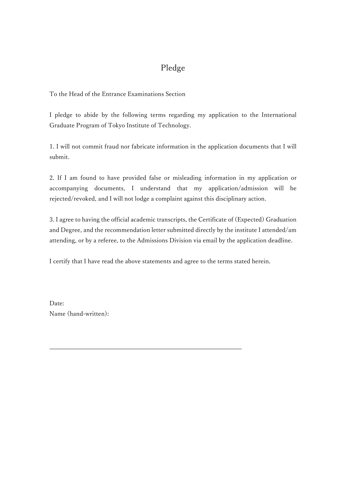### Pledge

To the Head of the Entrance Examinations Section

I pledge to abide by the following terms regarding my application to the International Graduate Program of Tokyo Institute of Technology.

1. I will not commit fraud nor fabricate information in the application documents that I will submit.

2. If I am found to have provided false or misleading information in my application or accompanying documents, I understand that my application/admission will be rejected/revoked, and I will not lodge a complaint against this disciplinary action.

3. I agree to having the official academic transcripts, the Certificate of (Expected) Graduation and Degree, and the recommendation letter submitted directly by the institute I attended/am attending, or by a referee, to the Admissions Division via email by the application deadline.

I certify that I have read the above statements and agree to the terms stated herein.

Date: Name (hand-written):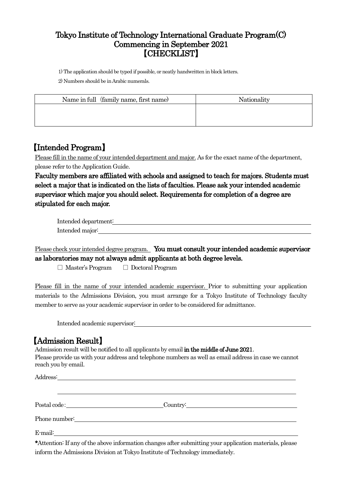#### Tokyo Institute of Technology International Graduate Program(C) Commencing in September 2021 【CHECKLIST】

1) The application should be typed if possible, or neatly handwritten in block letters.

2) Numbers should be in Arabic numerals.

| Nationality |
|-------------|
|             |
|             |
|             |

#### 【Intended Program】

Please fill in the name of your intended department and major. As for the exact name of the department, please refer to the Application Guide.

Faculty members are affiliated with schools and assigned to teach for majors. Students must select a major that is indicated on the lists of faculties. Please ask your intended academic supervisor which major you should select. Requirements for completion of a degree are stipulated for each major.

| Intended department: |  |
|----------------------|--|
| Intended major:      |  |

Please check your intended degree program. You must consult your intended academic supervisor as laboratories may not always admit applicants at both degree levels.

□ Master's Program □ Doctoral Program

Please fill in the name of your intended academic supervisor. Prior to submitting your application materials to the Admissions Division, you must arrange for a Tokyo Institute of Technology faculty member to serve as your academic supervisor in order to be considered for admittance.

Intended academic supervisor:

reach you by email.

【Admission Result】 Admission result will be notified to all applicants by email in the middle of June 2021. Please provide us with your address and telephone numbers as well as email address in case we cannot

|         | Country: Letter and the contract of the contract of the contract of the contract of the contract of the contract of the contract of the contract of the contract of the contract of the contract of the contract of the contra |
|---------|--------------------------------------------------------------------------------------------------------------------------------------------------------------------------------------------------------------------------------|
|         |                                                                                                                                                                                                                                |
| E-mail: |                                                                                                                                                                                                                                |

\*Attention: If any of the above information changes after submitting your application materials, please inform the Admissions Division at Tokyo Institute of Technology immediately.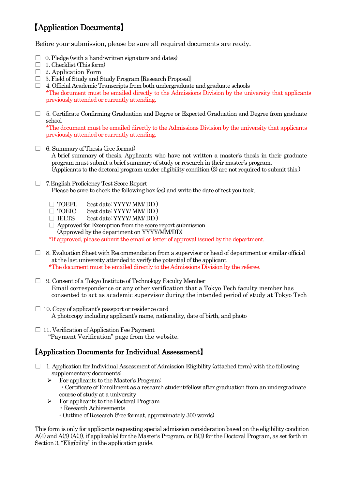## 【Application Documents】

Before your submission, please be sure all required documents are ready.

- $\Box$  0. Pledge (with a hand-written signature and dates)
- $\Box$  1. Checklist (This form)
- $\Box$  2. Application Form
- □ 3. Field of Study and Study Program [Research Proposal]
- $\Box$  4. Official Academic Transcripts from both undergraduate and graduate schools \*The document must be emailed directly to the Admissions Division by the university that applicants previously attended or currently attending.
- $\Box$  5. Certificate Confirming Graduation and Degree or Expected Graduation and Degree from graduate school

\*The document must be emailed directly to the Admissions Division by the university that applicants previously attended or currently attending.

- $\Box$  6. Summary of Thesis (free format) A brief summary of thesis. Applicants who have not written a master's thesis in their graduate program must submit a brief summary of study or research in their master's program. (Applicants to the doctoral program under eligibility condition (3) are not required to submit this.)
- □ 7.English Proficiency Test Score Report Please be sure to check the following box (es) and write the date of test you took.
	-
	- $\Box$  TOEFL (test date: YYYY/ MM/ DD)<br> $\Box$  TOEIC (test date: YYYY/ MM/ DD) (test date: YYYY/ MM/ DD)
	- $\Box$  IELTS (test date: YYYY/ MM/ DD)
	- $\Box$  Approved for Exemption from the score report submission (Approved by the department on YYYY/MM/DD)

\*If approved, please submit the email or letter of approval issued by the department.

- $\Box$  8. Evaluation Sheet with Recommendation from a supervisor or head of department or similar official at the last university attended to verify the potential of the applicant \*The document must be emailed directly to the Admissions Division by the referee.
- □ 9. Consent of a Tokyo Institute of Technology Faculty Member Email correspondence or any other verification that a Tokyo Tech faculty member has consented to act as academic supervisor during the intended period of study at Tokyo Tech
- $\Box$  10. Copy of applicant's passport or residence card A photocopy including applicant's name, nationality, date of birth, and photo
- $\Box$  11. Verification of Application Fee Payment "Payment Verification" page from the website.

#### 【Application Documents for Individual Assessment】

- $\Box$  1. Application for Individual Assessment of Admission Eligibility (attached form) with the following supplementary documents:
	- $\triangleright$  For applicants to the Master's Program:
		- ・Certificate of Enrollment as a research student/fellow after graduation from an undergraduate course of study at a university
	- $\triangleright$  For applicants to the Doctoral Program
		- ・Research Achievements
		- ・Outline of Research (free format, approximately 300 words)

This form is only for applicants requesting special admission consideration based on the eligibility condition A(4) and A(5) (A(3), if applicable) for the Master's Program, or B(3) for the Doctoral Program, as set forth in Section 3,"Eligibility" in the application guide.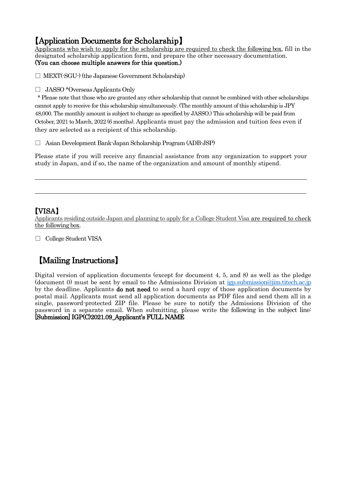【Application Documents for Scholarship】 Applicants who wish to apply for the scholarship are required to check the following box, fill in the designated scholarship application form, and prepare the other necessary documentation. (You can choose multiple answers for this question.)

 $\Box$  MEXT( $\cdot$ SGU $\cdot$ ) (the Japanese Government Scholarship)

□ JASSO \*Overseas Applicants Only

\* Please note that those who are granted any other scholarship that cannot be combined with other scholarships cannot apply to receive for this scholarship simultaneously. (The monthly amount of this scholarship is JPY 48,000. The monthly amount is subject to change as specified by JASSO.) This scholarship will be paid from October, 2021 to March, 2022 (6 months). Applicants must pay the admission and tuition fees even if they are selected as a recipient of this scholarship.

□ Asian Development Bank-Japan Scholarship Program (ADB-JSP)

Please state if you will receive any financial assistance from any organization to support your study in Japan, and if so, the name of the organization and amount of monthly stipend.

#### 【VISA】

 $\overline{a}$ 

 $\overline{a}$ 

Applicants residing outside Japan and planning to apply for a College Student Visa are required to check the following box.

□ College Student VISA

### 【Mailing Instructions】

Digital version of application documents (except for document 4, 5, and 8) as well as the pledge (document 0) must be sent by email to the Admissions Division at [igp.submission@jim.titech.ac.jp](mailto:igp.submission@jim.titech.ac.jp) by the deadline. Applicants do not need to send a hard copy of those application documents by postal mail. Applicants must send all application documents as PDF files and send them all in a single, password-protected ZIP file. Please be sure to notify the Admissions Division of the password in a separate email. When submitting, please write the following in the subject line: [Submission] IGP(C)2021.09\_Applicant's FULL NAME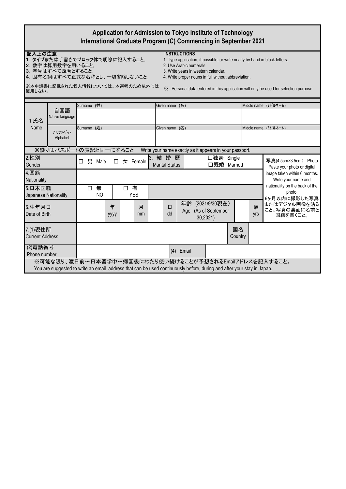| Application for Admission to Tokyo Institute of Technology<br>International Graduate Program (C) Commencing in September 2021                                                                                                                                                                                                                                                                                                                                                          |                          |                                                       |                  |                                 |                                                         |                           |  |          |                                                          |  |
|----------------------------------------------------------------------------------------------------------------------------------------------------------------------------------------------------------------------------------------------------------------------------------------------------------------------------------------------------------------------------------------------------------------------------------------------------------------------------------------|--------------------------|-------------------------------------------------------|------------------|---------------------------------|---------------------------------------------------------|---------------------------|--|----------|----------------------------------------------------------|--|
| 記入上の注意<br><b>INSTRUCTIONS</b><br>1. タイプまたは手書きでブロック体で明瞭に記入すること。<br>1. Type application, if possible, or write neatly by hand in block letters.<br>2. 数字は算用数字を用いること。<br>2. Use Arabic numerals.<br>3. 年号はすべて西暦とすること。<br>3. Write years in western calendar.<br>4. 固有名詞はすべて正式な名称とし、一切省略しないこと。<br>4. Write proper nouns in full without abbreviation.<br>※本申請書に記載された個人情報については、本選考のため以外には<br>※ Personal data entered in this application will only be used for selection purpose.<br>使用しない。 |                          |                                                       |                  |                                 |                                                         |                           |  |          |                                                          |  |
|                                                                                                                                                                                                                                                                                                                                                                                                                                                                                        |                          |                                                       |                  |                                 |                                                         |                           |  |          |                                                          |  |
| 自国語<br>Native language<br>1.氏名                                                                                                                                                                                                                                                                                                                                                                                                                                                         | Surname (姓)              |                                                       |                  | Given name (名)                  |                                                         |                           |  |          | Middle name (ミドルネーム)                                     |  |
| Name<br>アルファヘット<br>Alphabet                                                                                                                                                                                                                                                                                                                                                                                                                                                            |                          | Surname (姓)<br>Given name (名)<br>Middle name (ミドルネーム) |                  |                                 |                                                         |                           |  |          |                                                          |  |
| ※綴りはパスポートの表記と同一にすること                                                                                                                                                                                                                                                                                                                                                                                                                                                                   |                          |                                                       |                  |                                 | Write your name exactly as it appears in your passport. |                           |  |          |                                                          |  |
| 2.性別<br>Gender                                                                                                                                                                                                                                                                                                                                                                                                                                                                         | 男 Male<br>□              | П                                                     | $\star$ Female   | 3. 結婚歴<br><b>Marital Status</b> |                                                         | □独身 Single<br>□既婚 Married |  |          | 写真(4.5cm×3.5cm) Photo<br>Paste your photo or digital     |  |
| 4.国籍<br>Nationality                                                                                                                                                                                                                                                                                                                                                                                                                                                                    |                          | image taken within 6 months.<br>Write your name and   |                  |                                 |                                                         |                           |  |          |                                                          |  |
| 5.日本国籍<br>Japanese Nationality                                                                                                                                                                                                                                                                                                                                                                                                                                                         | 無<br>0<br>N <sub>O</sub> |                                                       | 口有<br><b>YES</b> |                                 |                                                         |                           |  |          | nationality on the back of the<br>photo.<br>6ヶ月以内に撮影した写真 |  |
| 6.生年月日<br>Date of Birth                                                                                                                                                                                                                                                                                                                                                                                                                                                                |                          | 年<br>уууу                                             | 月<br>mm          | 日<br>dd                         | 年齢 (2021/9/30現在)<br>Age (As of September                | 30,2021)                  |  | 歳<br>yrs | またはデジタル画像を貼る<br>こと。写真の裏面に名前と<br>国籍を書くこと。                 |  |
| 7.(1)現住所<br>国名<br><b>Current Address</b><br>Country                                                                                                                                                                                                                                                                                                                                                                                                                                    |                          |                                                       |                  |                                 |                                                         |                           |  |          |                                                          |  |
| (2)電話番号<br>(4) Email<br>Phone number                                                                                                                                                                                                                                                                                                                                                                                                                                                   |                          |                                                       |                  |                                 |                                                         |                           |  |          |                                                          |  |
| ※可能な限り、渡日前~日本留学中~帰国後にわたり使い続けることが予想されるEmailアドレスを記入すること。<br>You are suggested to write an email address that can be used continuously before, during and after your stay in Japan.                                                                                                                                                                                                                                                                                                       |                          |                                                       |                  |                                 |                                                         |                           |  |          |                                                          |  |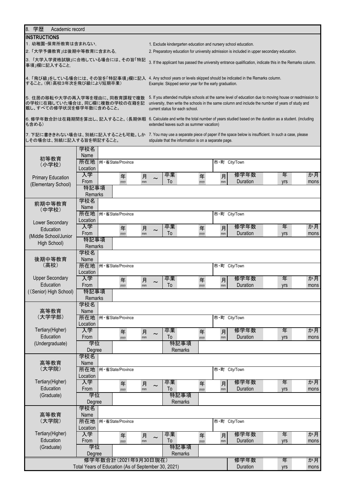| 8. 学歴<br>Academic record                                                                                                                |                                |  |                                                     |         |                                                                                             |                                                                                                            |  |           |               |                                                                                  |                                                                                                          |      |  |  |
|-----------------------------------------------------------------------------------------------------------------------------------------|--------------------------------|--|-----------------------------------------------------|---------|---------------------------------------------------------------------------------------------|------------------------------------------------------------------------------------------------------------|--|-----------|---------------|----------------------------------------------------------------------------------|----------------------------------------------------------------------------------------------------------|------|--|--|
| <b>INSTRUCTIONS</b>                                                                                                                     |                                |  |                                                     |         |                                                                                             |                                                                                                            |  |           |               |                                                                                  |                                                                                                          |      |  |  |
| 1. 幼稚園・保育所教育は含まれない。                                                                                                                     |                                |  |                                                     |         |                                                                                             | 1. Exclude kindergarten education and nursery school education.                                            |  |           |               |                                                                                  |                                                                                                          |      |  |  |
| 2.「大学予備教育」は後期中等教育に含まれる。                                                                                                                 |                                |  |                                                     |         | 2. Preparatory education for university admission is included in upper secondary education. |                                                                                                            |  |           |               |                                                                                  |                                                                                                          |      |  |  |
|                                                                                                                                         | 3.「大学入学資格試験」に合格している場合には、その旨「特記 |  |                                                     |         |                                                                                             |                                                                                                            |  |           |               |                                                                                  |                                                                                                          |      |  |  |
| 事項」欄に記入すること。                                                                                                                            |                                |  |                                                     |         |                                                                                             | 3. If the applicant has passed the university entrance qualification, indicate this in the Remarks column. |  |           |               |                                                                                  |                                                                                                          |      |  |  |
|                                                                                                                                         |                                |  |                                                     |         |                                                                                             |                                                                                                            |  |           |               |                                                                                  |                                                                                                          |      |  |  |
| 4.「飛び級」をしている場合には、その旨を「特記事項」欄に記入                                                                                                         |                                |  |                                                     |         |                                                                                             |                                                                                                            |  |           |               | 4. Any school years or levels skipped should be indicated in the Remarks column. |                                                                                                          |      |  |  |
| すること。(例)高校3年次を飛び級により短期卒業)                                                                                                               |                                |  |                                                     |         |                                                                                             | Example: Skipped senior year for the early graduation.                                                     |  |           |               |                                                                                  |                                                                                                          |      |  |  |
|                                                                                                                                         |                                |  |                                                     |         |                                                                                             |                                                                                                            |  |           |               |                                                                                  |                                                                                                          |      |  |  |
| 5. 住居の移転や大学の再入学等を理由に、同教育課程で複数                                                                                                           |                                |  |                                                     |         |                                                                                             |                                                                                                            |  |           |               |                                                                                  | 5. If you attended multiple schools at the same level of education due to moving house or readmission to |      |  |  |
| の学校に在籍していた場合は、同じ欄に複数の学校の在籍を記                                                                                                            |                                |  |                                                     |         |                                                                                             |                                                                                                            |  |           |               |                                                                                  | university, then write the schools in the same column and include the number of years of study and       |      |  |  |
| 載し、すべての修学状況を修学年数に含めること。                                                                                                                 |                                |  |                                                     |         |                                                                                             | current status for each school.                                                                            |  |           |               |                                                                                  |                                                                                                          |      |  |  |
| 6. 修学年数合計は在籍期間を算出し、記入すること。(長期休暇 6. Calculate and write the total number of years studied based on the duration as a student. (including |                                |  |                                                     |         |                                                                                             |                                                                                                            |  |           |               |                                                                                  |                                                                                                          |      |  |  |
| も含める)                                                                                                                                   |                                |  |                                                     |         |                                                                                             | extended leaves such as summer vacation)                                                                   |  |           |               |                                                                                  |                                                                                                          |      |  |  |
|                                                                                                                                         |                                |  |                                                     |         |                                                                                             |                                                                                                            |  |           |               |                                                                                  |                                                                                                          |      |  |  |
| 7. 下記に書ききれない場合は、別紙に記入することも可能。しか 7. You may use a separate piece of paper if the space below is insufficient. In such a case, please     |                                |  |                                                     |         |                                                                                             |                                                                                                            |  |           |               |                                                                                  |                                                                                                          |      |  |  |
| しその場合は、別紙に記入する旨を明記すること。                                                                                                                 |                                |  |                                                     |         |                                                                                             | stipulate that the information is on a separate page.                                                      |  |           |               |                                                                                  |                                                                                                          |      |  |  |
|                                                                                                                                         | 学校名                            |  |                                                     |         |                                                                                             |                                                                                                            |  |           |               |                                                                                  |                                                                                                          |      |  |  |
| 初等教育                                                                                                                                    | Name                           |  |                                                     |         |                                                                                             |                                                                                                            |  |           |               |                                                                                  |                                                                                                          |      |  |  |
| (小学校)                                                                                                                                   | 所在地                            |  | 州·省State/Province                                   |         |                                                                                             |                                                                                                            |  |           | 市·町 City/Town |                                                                                  |                                                                                                          |      |  |  |
|                                                                                                                                         | Location                       |  |                                                     |         |                                                                                             |                                                                                                            |  |           |               |                                                                                  |                                                                                                          |      |  |  |
| <b>Primary Education</b>                                                                                                                | 入学                             |  | 年                                                   | 月       |                                                                                             | 卒業                                                                                                         |  | 年         | 月             | 修学年数                                                                             | 年                                                                                                        | か月   |  |  |
|                                                                                                                                         | From                           |  | уууу                                                | mm      |                                                                                             | To                                                                                                         |  | уууу      | mm            | Duration                                                                         | yrs                                                                                                      | mons |  |  |
| (Elementary School)                                                                                                                     | 特記事項                           |  |                                                     |         |                                                                                             |                                                                                                            |  |           |               |                                                                                  |                                                                                                          |      |  |  |
|                                                                                                                                         | Remarks                        |  |                                                     |         |                                                                                             |                                                                                                            |  |           |               |                                                                                  |                                                                                                          |      |  |  |
|                                                                                                                                         | 学校名                            |  |                                                     |         |                                                                                             |                                                                                                            |  |           |               |                                                                                  |                                                                                                          |      |  |  |
| 前期中等教育<br>(中学校)                                                                                                                         | Name                           |  |                                                     |         |                                                                                             |                                                                                                            |  |           |               |                                                                                  |                                                                                                          |      |  |  |
|                                                                                                                                         | 所在地                            |  | 州·省State/Province                                   |         |                                                                                             |                                                                                                            |  |           | 市·町 City/Town |                                                                                  |                                                                                                          |      |  |  |
| Lower Secondary                                                                                                                         | Location                       |  |                                                     |         |                                                                                             |                                                                                                            |  |           |               |                                                                                  |                                                                                                          |      |  |  |
| Education                                                                                                                               | 入学                             |  | 年                                                   | 月       |                                                                                             | 卒業                                                                                                         |  | 年         | 月             | 修学年数                                                                             | 年                                                                                                        | か月   |  |  |
|                                                                                                                                         | From                           |  | yyyy                                                | mm      |                                                                                             | To                                                                                                         |  | yyyy      | mm            | Duration                                                                         | yrs                                                                                                      | mons |  |  |
| (Middle School/Junior                                                                                                                   | 特記事項                           |  |                                                     |         |                                                                                             |                                                                                                            |  |           |               |                                                                                  |                                                                                                          |      |  |  |
| High School)                                                                                                                            | Remarks                        |  |                                                     |         |                                                                                             |                                                                                                            |  |           |               |                                                                                  |                                                                                                          |      |  |  |
|                                                                                                                                         | 学校名                            |  |                                                     |         |                                                                                             |                                                                                                            |  |           |               |                                                                                  |                                                                                                          |      |  |  |
| 後期中等教育                                                                                                                                  | Name                           |  |                                                     |         |                                                                                             |                                                                                                            |  |           |               |                                                                                  |                                                                                                          |      |  |  |
| (高校)                                                                                                                                    | 所在地                            |  | 州·省State/Province                                   |         |                                                                                             |                                                                                                            |  |           | 市·町 City/Town |                                                                                  |                                                                                                          |      |  |  |
|                                                                                                                                         | Location                       |  |                                                     |         |                                                                                             |                                                                                                            |  |           |               |                                                                                  |                                                                                                          |      |  |  |
| <b>Upper Secondary</b>                                                                                                                  | 入学                             |  | 年                                                   | 月       |                                                                                             | 卒業                                                                                                         |  | 年         | 月             | 修学年数                                                                             | 年                                                                                                        | か月   |  |  |
| Education                                                                                                                               | From                           |  | уууу                                                | mm      |                                                                                             | 10                                                                                                         |  | уууу      | $\mathsf{mm}$ | Duration                                                                         | yrs                                                                                                      | mons |  |  |
| ((Senior) High School)                                                                                                                  | 特記事項                           |  |                                                     |         |                                                                                             |                                                                                                            |  |           |               |                                                                                  |                                                                                                          |      |  |  |
|                                                                                                                                         | Remarks                        |  |                                                     |         |                                                                                             |                                                                                                            |  |           |               |                                                                                  |                                                                                                          |      |  |  |
|                                                                                                                                         | 学校名                            |  |                                                     |         |                                                                                             |                                                                                                            |  |           |               |                                                                                  |                                                                                                          |      |  |  |
| 高等教育                                                                                                                                    | Name                           |  |                                                     |         |                                                                                             |                                                                                                            |  |           |               |                                                                                  |                                                                                                          |      |  |  |
| (大学学部)                                                                                                                                  | 所在地                            |  | 州·省State/Province                                   |         |                                                                                             |                                                                                                            |  |           | 市·町 City/Town |                                                                                  |                                                                                                          |      |  |  |
|                                                                                                                                         | Location                       |  |                                                     |         |                                                                                             |                                                                                                            |  |           |               |                                                                                  |                                                                                                          |      |  |  |
| Tertiary(Higher)                                                                                                                        | 入学                             |  | 年                                                   | 月       |                                                                                             | 卒業                                                                                                         |  | 年         | 月             | 修学年数                                                                             | 年                                                                                                        | か月   |  |  |
| Education                                                                                                                               | From                           |  | уууу                                                | mm      | $\sim$                                                                                      | To                                                                                                         |  | уууу      | mm            | Duration                                                                         | yrs                                                                                                      | mons |  |  |
| (Undergraduate)                                                                                                                         | 学位                             |  |                                                     |         |                                                                                             | 特記事項                                                                                                       |  |           |               |                                                                                  |                                                                                                          |      |  |  |
|                                                                                                                                         | Degree                         |  |                                                     |         |                                                                                             | Remarks                                                                                                    |  |           |               |                                                                                  |                                                                                                          |      |  |  |
|                                                                                                                                         | 学校名                            |  |                                                     |         |                                                                                             |                                                                                                            |  |           |               |                                                                                  |                                                                                                          |      |  |  |
| 高等教育                                                                                                                                    | Name                           |  |                                                     |         |                                                                                             |                                                                                                            |  |           |               |                                                                                  |                                                                                                          |      |  |  |
| (大学院)                                                                                                                                   | 所在地                            |  | 州·省State/Province                                   |         |                                                                                             |                                                                                                            |  |           | 市·町 City/Town |                                                                                  |                                                                                                          |      |  |  |
|                                                                                                                                         | Location                       |  |                                                     |         |                                                                                             |                                                                                                            |  |           |               |                                                                                  |                                                                                                          |      |  |  |
| Tertiary(Higher)                                                                                                                        | 入学                             |  | 年                                                   |         |                                                                                             | 卒業                                                                                                         |  |           | 月             | 修学年数                                                                             | 年                                                                                                        | か月   |  |  |
| Education                                                                                                                               | From                           |  | уууу                                                | 月<br>mm | $\sim$                                                                                      | To                                                                                                         |  | 年<br>уууу | $\mathsf{mm}$ | Duration                                                                         | yrs                                                                                                      | mons |  |  |
| (Graduate)                                                                                                                              | 学位                             |  |                                                     |         |                                                                                             | 特記事項                                                                                                       |  |           |               |                                                                                  |                                                                                                          |      |  |  |
|                                                                                                                                         | Degree                         |  |                                                     |         |                                                                                             | Remarks                                                                                                    |  |           |               |                                                                                  |                                                                                                          |      |  |  |
|                                                                                                                                         | 学校名                            |  |                                                     |         |                                                                                             |                                                                                                            |  |           |               |                                                                                  |                                                                                                          |      |  |  |
| 高等教育                                                                                                                                    | Name                           |  |                                                     |         |                                                                                             |                                                                                                            |  |           |               |                                                                                  |                                                                                                          |      |  |  |
| (大学院)                                                                                                                                   | 所在地                            |  | 州·省State/Province                                   |         |                                                                                             |                                                                                                            |  |           | 市·町 City/Town |                                                                                  |                                                                                                          |      |  |  |
|                                                                                                                                         | Location                       |  |                                                     |         |                                                                                             |                                                                                                            |  |           |               |                                                                                  |                                                                                                          |      |  |  |
| Tertiary(Higher)                                                                                                                        | 入学                             |  |                                                     |         |                                                                                             | 卒業                                                                                                         |  | 年         | 月             | 修学年数                                                                             | 年                                                                                                        | か月   |  |  |
| Education                                                                                                                               | From                           |  | 年<br>уууу                                           | 月<br>mm | $\sim$                                                                                      | To                                                                                                         |  | уууу      | mm            | Duration                                                                         | yrs                                                                                                      | mons |  |  |
| (Graduate)                                                                                                                              | 学位                             |  |                                                     |         |                                                                                             | 特記事項                                                                                                       |  |           |               |                                                                                  |                                                                                                          |      |  |  |
|                                                                                                                                         | Degree                         |  |                                                     |         |                                                                                             | Remarks                                                                                                    |  |           |               |                                                                                  |                                                                                                          |      |  |  |
|                                                                                                                                         |                                |  | 修学年数合計(2021年9月30日現在)                                |         |                                                                                             |                                                                                                            |  |           |               | 修学年数                                                                             | 年                                                                                                        | か月   |  |  |
|                                                                                                                                         |                                |  | Total Years of Education (As of September 30, 2021) |         |                                                                                             |                                                                                                            |  |           |               | Duration                                                                         | yrs                                                                                                      | mons |  |  |
|                                                                                                                                         |                                |  |                                                     |         |                                                                                             |                                                                                                            |  |           |               |                                                                                  |                                                                                                          |      |  |  |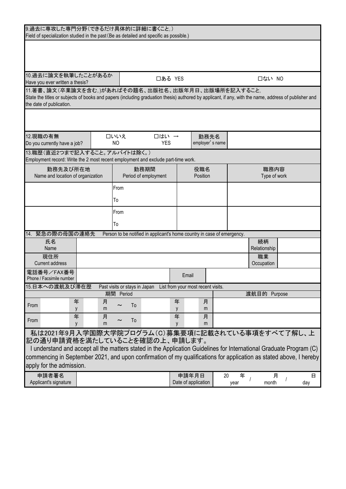| 9.過去に専攻した専門分野(できるだけ具体的に詳細に書くこと。)                                                                                                                                                  |                                                 |                                                                         |                     |          |                         |           |                  |  |          |
|-----------------------------------------------------------------------------------------------------------------------------------------------------------------------------------|-------------------------------------------------|-------------------------------------------------------------------------|---------------------|----------|-------------------------|-----------|------------------|--|----------|
| Field of specialization studied in the past (Be as detailed and specific as possible.)                                                                                            |                                                 |                                                                         |                     |          |                         |           |                  |  |          |
|                                                                                                                                                                                   |                                                 |                                                                         |                     |          |                         |           |                  |  |          |
|                                                                                                                                                                                   |                                                 |                                                                         |                     |          |                         |           |                  |  |          |
|                                                                                                                                                                                   |                                                 |                                                                         |                     |          |                         |           |                  |  |          |
| 10.過去に論文を執筆したことがあるか                                                                                                                                                               |                                                 | 口ある YES                                                                 |                     |          |                         |           | 口ない NO           |  |          |
| Have you ever written a thesis?                                                                                                                                                   |                                                 |                                                                         |                     |          |                         |           |                  |  |          |
| 11.著書、論文(卒業論文を含む。)があればその題名、出版社名、出版年月日、出版場所を記入すること。                                                                                                                                |                                                 |                                                                         |                     |          |                         |           |                  |  |          |
| State the titles or subjects of books and papers (including graduation thesis) authored by applicant, if any, with the name, address of publisher and<br>the date of publication. |                                                 |                                                                         |                     |          |                         |           |                  |  |          |
|                                                                                                                                                                                   |                                                 |                                                                         |                     |          |                         |           |                  |  |          |
|                                                                                                                                                                                   |                                                 |                                                                         |                     |          |                         |           |                  |  |          |
|                                                                                                                                                                                   |                                                 |                                                                         |                     |          |                         |           |                  |  |          |
| 12.現職の有無<br>Do you currently have a job?                                                                                                                                          | 口いいえ<br>N <sub>O</sub>                          | 口はい →<br><b>YES</b>                                                     |                     |          | 勤務先名<br>employer's name |           |                  |  |          |
| 13.職歴(直近2つまで記入すること。アルバイトは除く。)                                                                                                                                                     |                                                 |                                                                         |                     |          |                         |           |                  |  |          |
| Employment record: Write the 2 most recent employment and exclude part-time work.                                                                                                 |                                                 |                                                                         |                     |          |                         |           |                  |  |          |
| 勤務先及び所在地                                                                                                                                                                          |                                                 | 勤務期間                                                                    |                     | 役職名      |                         |           | 職務内容             |  |          |
| Name and location of organization                                                                                                                                                 |                                                 | Period of employment                                                    |                     | Position |                         |           | Type of work     |  |          |
|                                                                                                                                                                                   | From                                            |                                                                         |                     |          |                         |           |                  |  |          |
|                                                                                                                                                                                   | To                                              |                                                                         |                     |          |                         |           |                  |  |          |
|                                                                                                                                                                                   | From                                            |                                                                         |                     |          |                         |           |                  |  |          |
|                                                                                                                                                                                   | To                                              |                                                                         |                     |          |                         |           |                  |  |          |
| 緊急の際の母国の連絡先<br>14.                                                                                                                                                                |                                                 | Person to be notified in applicant's home country in case of emergency. |                     |          |                         |           |                  |  |          |
| 氏名                                                                                                                                                                                |                                                 |                                                                         |                     |          |                         |           | 続柄               |  |          |
| Name                                                                                                                                                                              |                                                 |                                                                         |                     |          |                         |           | Relationship     |  |          |
| 現住所<br><b>Current address</b>                                                                                                                                                     |                                                 |                                                                         |                     |          |                         |           | 職業<br>Occupation |  |          |
| 電話番号/FAX番号                                                                                                                                                                        |                                                 |                                                                         |                     |          |                         |           |                  |  |          |
| Phone / Facsimile number                                                                                                                                                          |                                                 |                                                                         | Email               |          |                         |           |                  |  |          |
| 15.日本への渡航及び滞在歴                                                                                                                                                                    |                                                 | Past visits or stays in Japan List from your most recent visits.        |                     |          |                         |           |                  |  |          |
|                                                                                                                                                                                   | 期間 Period                                       |                                                                         |                     |          |                         |           | 渡航目的 Purpose     |  |          |
| 年<br>From<br>у                                                                                                                                                                    | 月<br>m                                          | To                                                                      | 年<br>y              | 月<br>m   |                         |           |                  |  |          |
| 年                                                                                                                                                                                 | 月                                               |                                                                         | 年                   | 月        |                         |           |                  |  |          |
| From<br>y                                                                                                                                                                         | $\tilde{\phantom{a}}$<br>m                      | To                                                                      | y                   | m        |                         |           |                  |  |          |
|                                                                                                                                                                                   | 私は2021年9月入学国際大学院プログラム(C)募集要項に記載されている事項をすべて了解し、上 |                                                                         |                     |          |                         |           |                  |  |          |
| 記の通り申請資格を満たしていることを確認の上、申請します。                                                                                                                                                     |                                                 |                                                                         |                     |          |                         |           |                  |  |          |
| I understand and accept all the matters stated in the Application Guidelines for International Graduate Program (C)                                                               |                                                 |                                                                         |                     |          |                         |           |                  |  |          |
| commencing in September 2021, and upon confirmation of my qualifications for application as stated above, I hereby                                                                |                                                 |                                                                         |                     |          |                         |           |                  |  |          |
| apply for the admission.                                                                                                                                                          |                                                 |                                                                         |                     |          |                         |           |                  |  |          |
| 申請者署名<br>Applicant's signature                                                                                                                                                    |                                                 |                                                                         | Date of application | 申請年月日    | 20                      | 年<br>year | 月<br>month       |  | 日<br>day |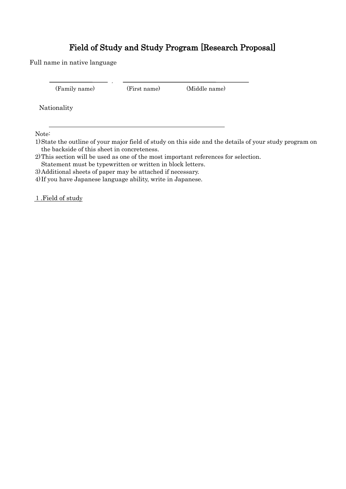### Field of Study and Study Program [Research Proposal]

Full name in native language

(Family name) (First name) (Middle name)

Nationality

Note:

1)State the outline of your major field of study on this side and the details of your study program on the backside of this sheet in concreteness.

2)This section will be used as one of the most important references for selection.

Statement must be typewritten or written in block letters.

3)Additional sheets of paper may be attached if necessary.

,

4) If you have Japanese language ability, write in Japanese.

1.Field of study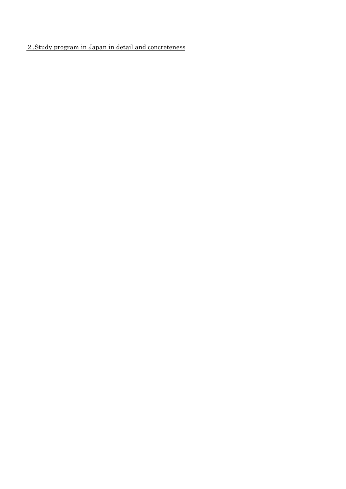#### .Study program in Japan in detail and concreteness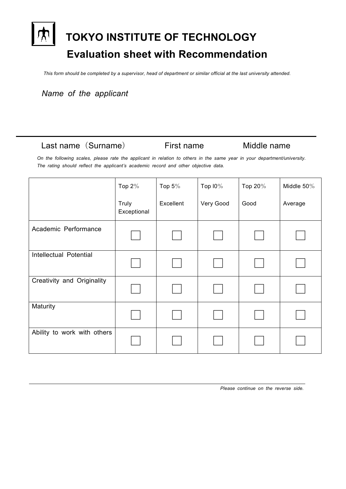# **TOKYO INSTITUTE OF TECHNOLOGY Evaluation sheet with Recommendation**

*This form should be completed by a supervisor, head of department or similar official at the last university attended.*

*Name of the applicant*

#### Last name(Surname) First name Middle name

*On the following scales, please rate the applicant in relation to others in the same year in your department/university. The rating should reflect the applicant's academic record and other objective data.*

|                             | Top $2\%$            | Top $5\%$ | Top $10\%$ | Top 20% | Middle $50\%$ |
|-----------------------------|----------------------|-----------|------------|---------|---------------|
|                             | Truly<br>Exceptional | Excellent | Very Good  | Good    | Average       |
| Academic Performance        |                      |           |            |         |               |
| Intellectual Potential      |                      |           |            |         |               |
| Creativity and Originality  |                      |           |            |         |               |
| Maturity                    |                      |           |            |         |               |
| Ability to work with others |                      |           |            |         |               |

*Please continue on the reverse side.*